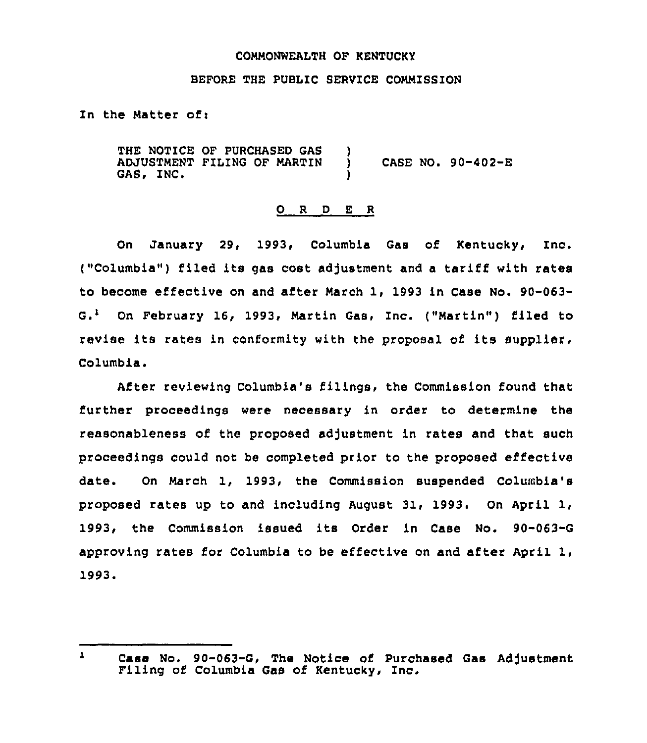## COMMONWEALTH OF KENTUCKY

# BEFORE THE PUBLIC SERVICE COMMISSION

In the Matter of:

THE NOTICE OF PURCHASED GAS ADJUSTMENT FILING OF MARTIN GAS, INC. ) ) CASE NO. 90-402-E )

## 0 <sup>R</sup> <sup>D</sup> <sup>E</sup> <sup>R</sup>

On January 29, 1993, Columbia Gas of Kentucky, Inc. ("Columbia") filed its gas cost adjustment and a tariff with rates to become effective on and after March 1, 1993 in Case No. 90-063-  $G<sup>1</sup>$  On February 16, 1993, Martin Gas, Inc. ("Martin") filed to revise its rates in conformity with the proposal of its supplier, Columbia.

After reviewing Columbia's filings, the Commission found that further proceedings were necessary in order to determine the reasonableness of the proposed adjustment in rates and that such proceedings could nor be completed prior to the proposed effective date. On March 1, 1993, the Commission suspended Columbia's proposed rates up to and including August 31, 1993. On April 1, 1993, the Commission issued its Order in Case No. 90-063-G approving rates for Columbia to be effective on and after April 1, 1993.

 $\mathbf{1}$ Case No. 90-063-G, The Notice of Purchased Gas Adjustment<br>Filing of Columbia Gas of Kentucky, Inc.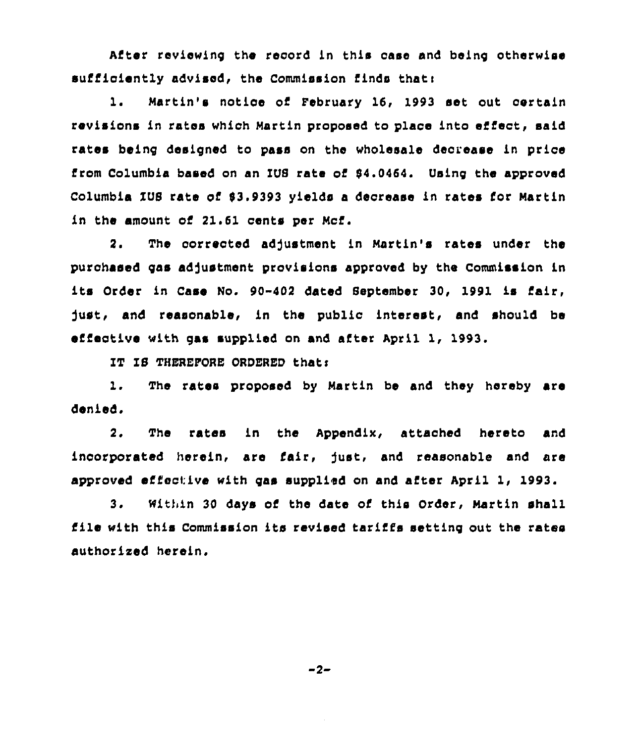Atter reviewing the record in this case and being otherwise sufficiently advised, the Commission finds that:

1. Martin's notice of February 16, 1993 set out certain revisions in rates which Martin proposed to place into effect, said rates being designed to pass on the wholesale decrease fn price from Columbia based on an IUS rate of 64.0464. Using the approved Columbia IUS rate of \$3.9393 yields a decrease in rates for Martin in the amount of 21.61 cents per Mcf.

2. The corrected adjustment in Martin's rates under the purchased gas adjustment provisions approved by the Commission in its Order in Case No. 90-402 dated September 30, 1991 is fafr, fust, and reasonable, in the public interest, and should be effective with gas supplied on and after April 1, 1993.

IT IS THEREFORE ORDERED thats

1. The rates proposed by Martin be and they hereby are denied.

2. The rates fn the Appendix, attached hereto and incorporated herein, are lair, fust, and reasonable and are approved effective with gas supplied on and after April 1, 1993.

3. Within 30 days of the date of this Order, Martin shall file with this Commission its revised tariffs setting out the rates authorized herein.

 $-2-$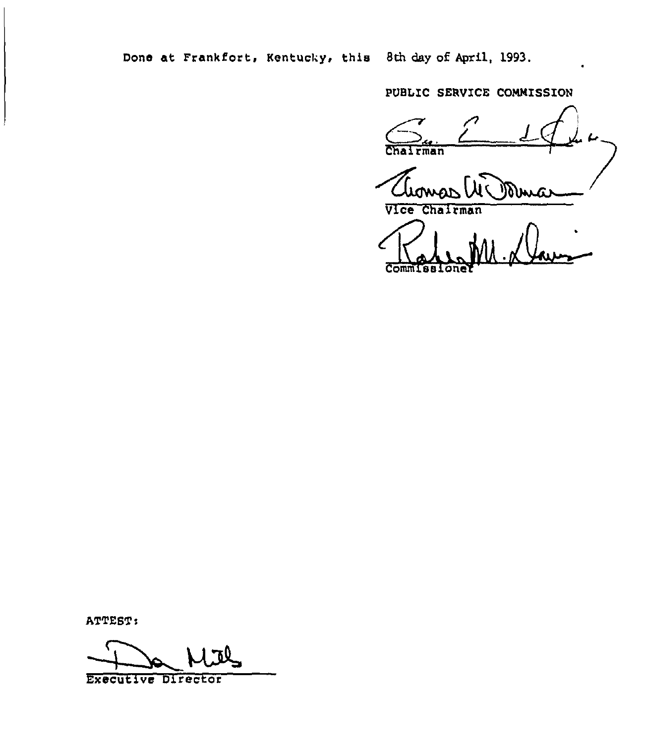Done at Frankfort, Kentucky, this 8th day of April, 1993.

PUBLIC SERVICE COMMISSION

rman

Vice Chairman

Commissione  $K$ 

ATTEST:

Executive Director